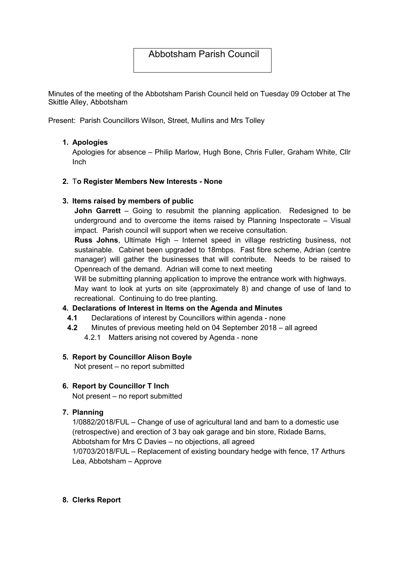# Abbotsham Parish Council

Minutes of the meeting of the Abbotsham Parish Council held on Tuesday 09 October at The Skittle Alley, Abbotsham

Present: Parish Councillors Wilson, Street, Mullins and Mrs Tolley

### 1. Apologies

Apologies for absence – Philip Marlow, Hugh Bone, Chris Fuller, Graham White, Cllr Inch

#### 2. To Register Members New Interests - None

#### 3. Items raised by members of public

**John Garrett** – Going to resubmit the planning application. Redesigned to be underground and to overcome the items raised by Planning Inspectorate – Visual impact. Parish council will support when we receive consultation.

Russ Johns, Ultimate High – Internet speed in village restricting business, not sustainable. Cabinet been upgraded to 18mbps. Fast fibre scheme, Adrian (centre manager) will gather the businesses that will contribute. Needs to be raised to Openreach of the demand. Adrian will come to next meeting

Will be submitting planning application to improve the entrance work with highways. May want to look at yurts on site (approximately 8) and change of use of land to

recreational. Continuing to do tree planting.

#### 4. Declarations of Interest in Items on the Agenda and Minutes

- 4.1 Declarations of interest by Councillors within agenda none
- 4.2 Minutes of previous meeting held on 04 September 2018 all agreed
	- 4.2.1 Matters arising not covered by Agenda none

#### 5. Report by Councillor Alison Boyle

Not present – no report submitted

### 6. Report by Councillor T Inch

Not present – no report submitted

## 7. Planning

1/0882/2018/FUL – Change of use of agricultural land and barn to a domestic use (retrospective) and erection of 3 bay oak garage and bin store, Rixlade Barns, Abbotsham for Mrs C Davies – no objections, all agreed 1/0703/2018/FUL – Replacement of existing boundary hedge with fence, 17 Arthurs Lea, Abbotsham – Approve

#### 8. Clerks Report